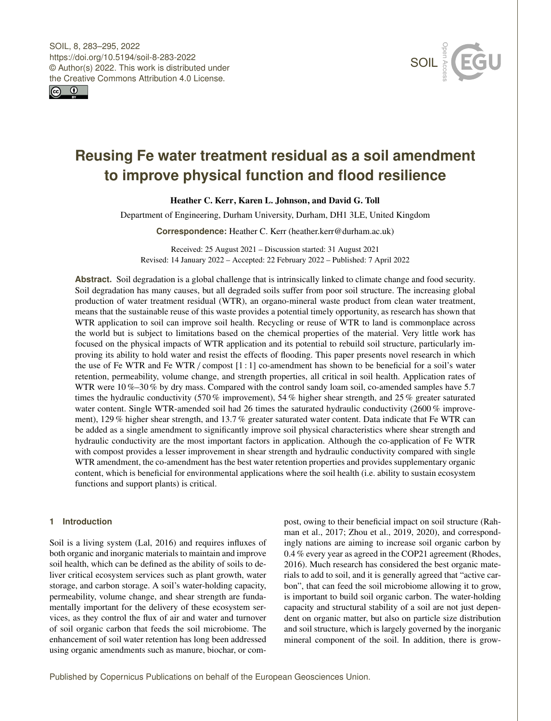



# **Reusing Fe water treatment residual as a soil amendment to improve physical function and flood resilience**

Heather C. Kerr, Karen L. Johnson, and David G. Toll

Department of Engineering, Durham University, Durham, DH1 3LE, United Kingdom

**Correspondence:** Heather C. Kerr (heather.kerr@durham.ac.uk)

Received: 25 August 2021 – Discussion started: 31 August 2021 Revised: 14 January 2022 – Accepted: 22 February 2022 – Published: 7 April 2022

**Abstract.** Soil degradation is a global challenge that is intrinsically linked to climate change and food security. Soil degradation has many causes, but all degraded soils suffer from poor soil structure. The increasing global production of water treatment residual (WTR), an organo-mineral waste product from clean water treatment, means that the sustainable reuse of this waste provides a potential timely opportunity, as research has shown that WTR application to soil can improve soil health. Recycling or reuse of WTR to land is commonplace across the world but is subject to limitations based on the chemical properties of the material. Very little work has focused on the physical impacts of WTR application and its potential to rebuild soil structure, particularly improving its ability to hold water and resist the effects of flooding. This paper presents novel research in which the use of Fe WTR and Fe WTR/ compost [1 : 1] co-amendment has shown to be beneficial for a soil's water retention, permeability, volume change, and strength properties, all critical in soil health. Application rates of WTR were 10 %–30 % by dry mass. Compared with the control sandy loam soil, co-amended samples have 5.7 times the hydraulic conductivity (570 % improvement), 54 % higher shear strength, and 25 % greater saturated water content. Single WTR-amended soil had 26 times the saturated hydraulic conductivity (2600 % improvement), 129 % higher shear strength, and 13.7 % greater saturated water content. Data indicate that Fe WTR can be added as a single amendment to significantly improve soil physical characteristics where shear strength and hydraulic conductivity are the most important factors in application. Although the co-application of Fe WTR with compost provides a lesser improvement in shear strength and hydraulic conductivity compared with single WTR amendment, the co-amendment has the best water retention properties and provides supplementary organic content, which is beneficial for environmental applications where the soil health (i.e. ability to sustain ecosystem functions and support plants) is critical.

# **1 Introduction**

Soil is a living system (Lal, 2016) and requires influxes of both organic and inorganic materials to maintain and improve soil health, which can be defined as the ability of soils to deliver critical ecosystem services such as plant growth, water storage, and carbon storage. A soil's water-holding capacity, permeability, volume change, and shear strength are fundamentally important for the delivery of these ecosystem services, as they control the flux of air and water and turnover of soil organic carbon that feeds the soil microbiome. The enhancement of soil water retention has long been addressed using organic amendments such as manure, biochar, or compost, owing to their beneficial impact on soil structure (Rahman et al., 2017; Zhou et al., 2019, 2020), and correspondingly nations are aiming to increase soil organic carbon by 0.4 % every year as agreed in the COP21 agreement (Rhodes, 2016). Much research has considered the best organic materials to add to soil, and it is generally agreed that "active carbon", that can feed the soil microbiome allowing it to grow, is important to build soil organic carbon. The water-holding capacity and structural stability of a soil are not just dependent on organic matter, but also on particle size distribution and soil structure, which is largely governed by the inorganic mineral component of the soil. In addition, there is grow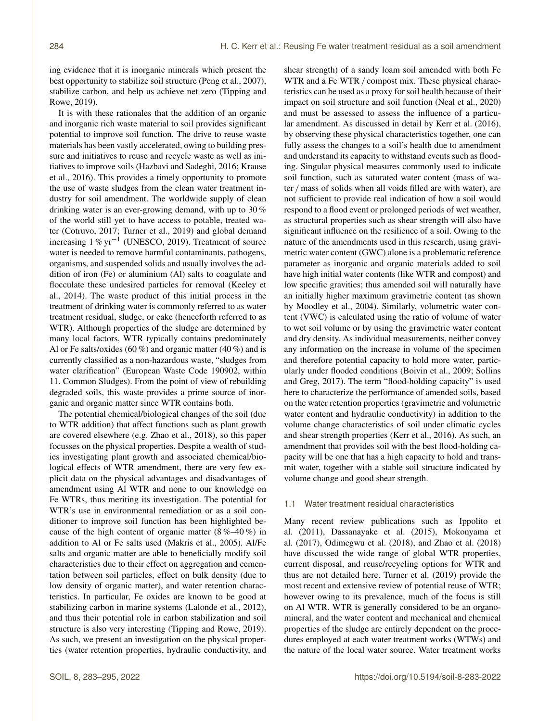ing evidence that it is inorganic minerals which present the best opportunity to stabilize soil structure (Peng et al., 2007), stabilize carbon, and help us achieve net zero (Tipping and Rowe, 2019).

It is with these rationales that the addition of an organic and inorganic rich waste material to soil provides significant potential to improve soil function. The drive to reuse waste materials has been vastly accelerated, owing to building pressure and initiatives to reuse and recycle waste as well as initiatives to improve soils (Hazbavi and Sadeghi, 2016; Krause et al., 2016). This provides a timely opportunity to promote the use of waste sludges from the clean water treatment industry for soil amendment. The worldwide supply of clean drinking water is an ever-growing demand, with up to 30 % of the world still yet to have access to potable, treated water (Cotruvo, 2017; Turner et al., 2019) and global demand increasing  $1\% \text{ yr}^{-1}$  (UNESCO, 2019). Treatment of source water is needed to remove harmful contaminants, pathogens, organisms, and suspended solids and usually involves the addition of iron (Fe) or aluminium (Al) salts to coagulate and flocculate these undesired particles for removal (Keeley et al., 2014). The waste product of this initial process in the treatment of drinking water is commonly referred to as water treatment residual, sludge, or cake (henceforth referred to as WTR). Although properties of the sludge are determined by many local factors, WTR typically contains predominately Al or Fe salts/oxides (60 %) and organic matter (40 %) and is currently classified as a non-hazardous waste, "sludges from water clarification" (European Waste Code 190902, within 11. Common Sludges). From the point of view of rebuilding degraded soils, this waste provides a prime source of inorganic and organic matter since WTR contains both.

The potential chemical/biological changes of the soil (due to WTR addition) that affect functions such as plant growth are covered elsewhere (e.g. Zhao et al., 2018), so this paper focusses on the physical properties. Despite a wealth of studies investigating plant growth and associated chemical/biological effects of WTR amendment, there are very few explicit data on the physical advantages and disadvantages of amendment using Al WTR and none to our knowledge on Fe WTRs, thus meriting its investigation. The potential for WTR's use in environmental remediation or as a soil conditioner to improve soil function has been highlighted because of the high content of organic matter  $(8\% -40\%)$  in addition to Al or Fe salts used (Makris et al., 2005). Al/Fe salts and organic matter are able to beneficially modify soil characteristics due to their effect on aggregation and cementation between soil particles, effect on bulk density (due to low density of organic matter), and water retention characteristics. In particular, Fe oxides are known to be good at stabilizing carbon in marine systems (Lalonde et al., 2012), and thus their potential role in carbon stabilization and soil structure is also very interesting (Tipping and Rowe, 2019). As such, we present an investigation on the physical properties (water retention properties, hydraulic conductivity, and shear strength) of a sandy loam soil amended with both Fe WTR and a Fe WTR / compost mix. These physical characteristics can be used as a proxy for soil health because of their impact on soil structure and soil function (Neal et al., 2020) and must be assessed to assess the influence of a particular amendment. As discussed in detail by Kerr et al. (2016), by observing these physical characteristics together, one can fully assess the changes to a soil's health due to amendment and understand its capacity to withstand events such as flooding. Singular physical measures commonly used to indicate soil function, such as saturated water content (mass of water / mass of solids when all voids filled are with water), are not sufficient to provide real indication of how a soil would respond to a flood event or prolonged periods of wet weather, as structural properties such as shear strength will also have significant influence on the resilience of a soil. Owing to the nature of the amendments used in this research, using gravimetric water content (GWC) alone is a problematic reference parameter as inorganic and organic materials added to soil have high initial water contents (like WTR and compost) and low specific gravities; thus amended soil will naturally have an initially higher maximum gravimetric content (as shown by Moodley et al., 2004). Similarly, volumetric water content (VWC) is calculated using the ratio of volume of water to wet soil volume or by using the gravimetric water content and dry density. As individual measurements, neither convey any information on the increase in volume of the specimen and therefore potential capacity to hold more water, particularly under flooded conditions (Boivin et al., 2009; Sollins and Greg, 2017). The term "flood-holding capacity" is used here to characterize the performance of amended soils, based on the water retention properties (gravimetric and volumetric water content and hydraulic conductivity) in addition to the volume change characteristics of soil under climatic cycles and shear strength properties (Kerr et al., 2016). As such, an amendment that provides soil with the best flood-holding capacity will be one that has a high capacity to hold and transmit water, together with a stable soil structure indicated by volume change and good shear strength.

#### 1.1 Water treatment residual characteristics

Many recent review publications such as Ippolito et al. (2011), Dassanayake et al. (2015), Mokonyama et al. (2017), Odimegwu et al. (2018), and Zhao et al. (2018) have discussed the wide range of global WTR properties, current disposal, and reuse/recycling options for WTR and thus are not detailed here. Turner et al. (2019) provide the most recent and extensive review of potential reuse of WTR; however owing to its prevalence, much of the focus is still on Al WTR. WTR is generally considered to be an organomineral, and the water content and mechanical and chemical properties of the sludge are entirely dependent on the procedures employed at each water treatment works (WTWs) and the nature of the local water source. Water treatment works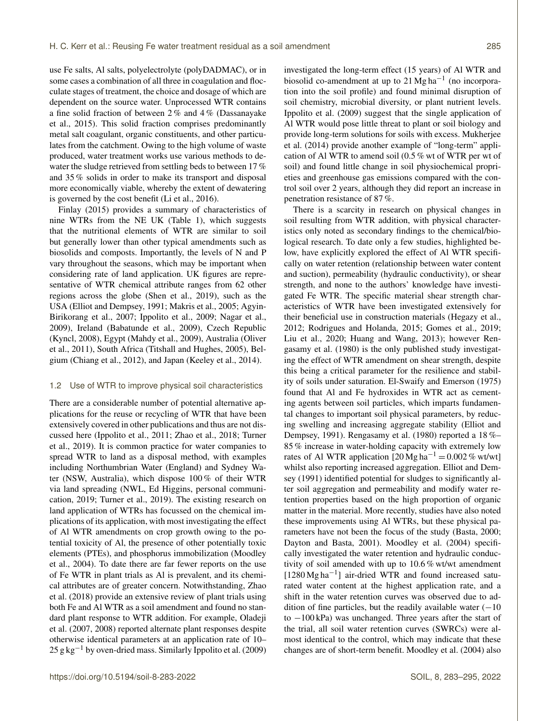use Fe salts, Al salts, polyelectrolyte (polyDADMAC), or in some cases a combination of all three in coagulation and flocculate stages of treatment, the choice and dosage of which are dependent on the source water. Unprocessed WTR contains a fine solid fraction of between 2 % and 4 % (Dassanayake et al., 2015). This solid fraction comprises predominantly metal salt coagulant, organic constituents, and other particulates from the catchment. Owing to the high volume of waste produced, water treatment works use various methods to dewater the sludge retrieved from settling beds to between 17 % and 35 % solids in order to make its transport and disposal more economically viable, whereby the extent of dewatering is governed by the cost benefit (Li et al., 2016).

Finlay (2015) provides a summary of characteristics of nine WTRs from the NE UK (Table 1), which suggests that the nutritional elements of WTR are similar to soil but generally lower than other typical amendments such as biosolids and composts. Importantly, the levels of N and P vary throughout the seasons, which may be important when considering rate of land application. UK figures are representative of WTR chemical attribute ranges from 62 other regions across the globe (Shen et al., 2019), such as the USA (Elliot and Dempsey, 1991; Makris et al., 2005; Agyin-Birikorang et al., 2007; Ippolito et al., 2009; Nagar et al., 2009), Ireland (Babatunde et al., 2009), Czech Republic (Kyncl, 2008), Egypt (Mahdy et al., 2009), Australia (Oliver et al., 2011), South Africa (Titshall and Hughes, 2005), Belgium (Chiang et al., 2012), and Japan (Keeley et al., 2014).

## 1.2 Use of WTR to improve physical soil characteristics

There are a considerable number of potential alternative applications for the reuse or recycling of WTR that have been extensively covered in other publications and thus are not discussed here (Ippolito et al., 2011; Zhao et al., 2018; Turner et al., 2019). It is common practice for water companies to spread WTR to land as a disposal method, with examples including Northumbrian Water (England) and Sydney Water (NSW, Australia), which dispose 100 % of their WTR via land spreading (NWL, Ed Higgins, personal communication, 2019; Turner et al., 2019). The existing research on land application of WTRs has focussed on the chemical implications of its application, with most investigating the effect of Al WTR amendments on crop growth owing to the potential toxicity of Al, the presence of other potentially toxic elements (PTEs), and phosphorus immobilization (Moodley et al., 2004). To date there are far fewer reports on the use of Fe WTR in plant trials as Al is prevalent, and its chemical attributes are of greater concern. Notwithstanding, Zhao et al. (2018) provide an extensive review of plant trials using both Fe and Al WTR as a soil amendment and found no standard plant response to WTR addition. For example, Oladeji et al. (2007, 2008) reported alternate plant responses despite otherwise identical parameters at an application rate of 10–  $25$  g kg<sup>-1</sup> by oven-dried mass. Similarly Ippolito et al. (2009) investigated the long-term effect (15 years) of Al WTR and biosolid co-amendment at up to 21 Mg ha<sup>-1</sup> (no incorporation into the soil profile) and found minimal disruption of soil chemistry, microbial diversity, or plant nutrient levels. Ippolito et al. (2009) suggest that the single application of Al WTR would pose little threat to plant or soil biology and provide long-term solutions for soils with excess. Mukherjee et al. (2014) provide another example of "long-term" application of Al WTR to amend soil (0.5 % wt of WTR per wt of soil) and found little change in soil physiochemical proprieties and greenhouse gas emissions compared with the control soil over 2 years, although they did report an increase in penetration resistance of 87 %.

There is a scarcity in research on physical changes in soil resulting from WTR addition, with physical characteristics only noted as secondary findings to the chemical/biological research. To date only a few studies, highlighted below, have explicitly explored the effect of Al WTR specifically on water retention (relationship between water content and suction), permeability (hydraulic conductivity), or shear strength, and none to the authors' knowledge have investigated Fe WTR. The specific material shear strength characteristics of WTR have been investigated extensively for their beneficial use in construction materials (Hegazy et al., 2012; Rodrigues and Holanda, 2015; Gomes et al., 2019; Liu et al., 2020; Huang and Wang, 2013); however Rengasamy et al. (1980) is the only published study investigating the effect of WTR amendment on shear strength, despite this being a critical parameter for the resilience and stability of soils under saturation. El-Swaify and Emerson (1975) found that Al and Fe hydroxides in WTR act as cementing agents between soil particles, which imparts fundamental changes to important soil physical parameters, by reducing swelling and increasing aggregate stability (Elliot and Dempsey, 1991). Rengasamy et al. (1980) reported a 18 %– 85 % increase in water-holding capacity with extremely low rates of Al WTR application  $[20 \text{ Mg ha}^{-1} = 0.002 \%$  wt/wt whilst also reporting increased aggregation. Elliot and Demsey (1991) identified potential for sludges to significantly alter soil aggregation and permeability and modify water retention properties based on the high proportion of organic matter in the material. More recently, studies have also noted these improvements using Al WTRs, but these physical parameters have not been the focus of the study (Basta, 2000; Dayton and Basta, 2001). Moodley et al. (2004) specifically investigated the water retention and hydraulic conductivity of soil amended with up to 10.6 % wt/wt amendment [1280 Mg ha<sup>-1</sup>] air-dried WTR and found increased saturated water content at the highest application rate, and a shift in the water retention curves was observed due to addition of fine particles, but the readily available water  $(-10)$ to −100 kPa) was unchanged. Three years after the start of the trial, all soil water retention curves (SWRCs) were almost identical to the control, which may indicate that these changes are of short-term benefit. Moodley et al. (2004) also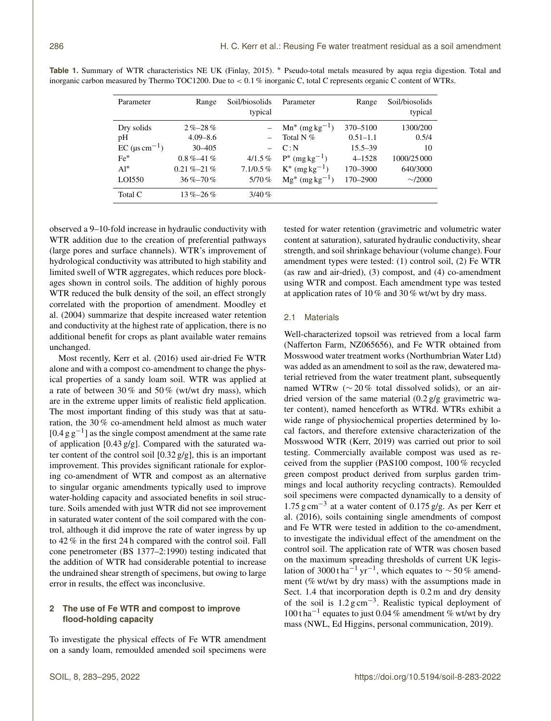| Parameter                         | Range           | Soil/biosolids<br>typical | Parameter                     | Range        | Soil/biosolids<br>typical |
|-----------------------------------|-----------------|---------------------------|-------------------------------|--------------|---------------------------|
| Dry solids                        | $2\% - 28\%$    |                           | $Mn^*$ (mg kg <sup>-1</sup> ) | 370-5100     | 1300/200                  |
| pH                                | $4.09 - 8.6$    |                           | Total N $%$                   | $0.51 - 1.1$ | 0.5/4                     |
| $EC$ ( $\mu$ s cm <sup>-1</sup> ) | $30 - 405$      |                           | C: N                          | $15.5 - 39$  | 10                        |
| $Fe*$                             | $0.8\% - 41\%$  | $4/1.5\%$                 | $P^*$ (mg kg <sup>-1</sup> )  | $4 - 1528$   | 1000/25 000               |
| $Al^*$                            | $0.21\% - 21\%$ | $7.1/0.5\%$               | $K^*$ (mg kg <sup>-1</sup> )  | 170-3900     | 640/3000                  |
| LOI550                            | $36\% - 70\%$   | $5/70\%$                  | $Mg^*$ (mg kg <sup>-1</sup> ) | 170-2900     | $\sim$ /2000              |
| Total C                           | $13\% - 26\%$   | $3/40\%$                  |                               |              |                           |

**Table 1.** Summary of WTR characteristics NE UK (Finlay, 2015). <sup>∗</sup> Pseudo-total metals measured by aqua regia digestion. Total and inorganic carbon measured by Thermo TOC1200. Due to < 0.1 % inorganic C, total C represents organic C content of WTRs.

observed a 9–10-fold increase in hydraulic conductivity with WTR addition due to the creation of preferential pathways (large pores and surface channels). WTR's improvement of hydrological conductivity was attributed to high stability and limited swell of WTR aggregates, which reduces pore blockages shown in control soils. The addition of highly porous WTR reduced the bulk density of the soil, an effect strongly correlated with the proportion of amendment. Moodley et al. (2004) summarize that despite increased water retention and conductivity at the highest rate of application, there is no additional benefit for crops as plant available water remains unchanged.

Most recently, Kerr et al. (2016) used air-dried Fe WTR alone and with a compost co-amendment to change the physical properties of a sandy loam soil. WTR was applied at a rate of between 30 % and 50 % (wt/wt dry mass), which are in the extreme upper limits of realistic field application. The most important finding of this study was that at saturation, the 30 % co-amendment held almost as much water [ $0.4$  g g<sup>-1</sup>] as the single compost amendment at the same rate of application [0.43 g/g]. Compared with the saturated water content of the control soil [0.32 g/g], this is an important improvement. This provides significant rationale for exploring co-amendment of WTR and compost as an alternative to singular organic amendments typically used to improve water-holding capacity and associated benefits in soil structure. Soils amended with just WTR did not see improvement in saturated water content of the soil compared with the control, although it did improve the rate of water ingress by up to 42 % in the first 24 h compared with the control soil. Fall cone penetrometer (BS 1377–2:1990) testing indicated that the addition of WTR had considerable potential to increase the undrained shear strength of specimens, but owing to large error in results, the effect was inconclusive.

# **2 The use of Fe WTR and compost to improve flood-holding capacity**

To investigate the physical effects of Fe WTR amendment on a sandy loam, remoulded amended soil specimens were tested for water retention (gravimetric and volumetric water content at saturation), saturated hydraulic conductivity, shear strength, and soil shrinkage behaviour (volume change). Four amendment types were tested: (1) control soil, (2) Fe WTR (as raw and air-dried), (3) compost, and (4) co-amendment using WTR and compost. Each amendment type was tested at application rates of 10 % and 30 % wt/wt by dry mass.

### 2.1 Materials

Well-characterized topsoil was retrieved from a local farm (Nafferton Farm, NZ065656), and Fe WTR obtained from Mosswood water treatment works (Northumbrian Water Ltd) was added as an amendment to soil as the raw, dewatered material retrieved from the water treatment plant, subsequently named WTRw ( $\sim$  20% total dissolved solids), or an airdried version of the same material (0.2 g/g gravimetric water content), named henceforth as WTRd. WTRs exhibit a wide range of physiochemical properties determined by local factors, and therefore extensive characterization of the Mosswood WTR (Kerr, 2019) was carried out prior to soil testing. Commercially available compost was used as received from the supplier (PAS100 compost, 100 % recycled green compost product derived from surplus garden trimmings and local authority recycling contracts). Remoulded soil specimens were compacted dynamically to a density of 1.75 g cm−<sup>3</sup> at a water content of 0.175 g/g. As per Kerr et al. (2016), soils containing single amendments of compost and Fe WTR were tested in addition to the co-amendment, to investigate the individual effect of the amendment on the control soil. The application rate of WTR was chosen based on the maximum spreading thresholds of current UK legislation of 3000 t ha<sup>-1</sup> yr<sup>-1</sup>, which equates to ~50% amendment (% wt/wt by dry mass) with the assumptions made in Sect. 1.4 that incorporation depth is  $0.2$  m and dry density of the soil is 1.2 g cm<sup>-3</sup>. Realistic typical deployment of 100 t ha−<sup>1</sup> equates to just 0.04 % amendment % wt/wt by dry mass (NWL, Ed Higgins, personal communication, 2019).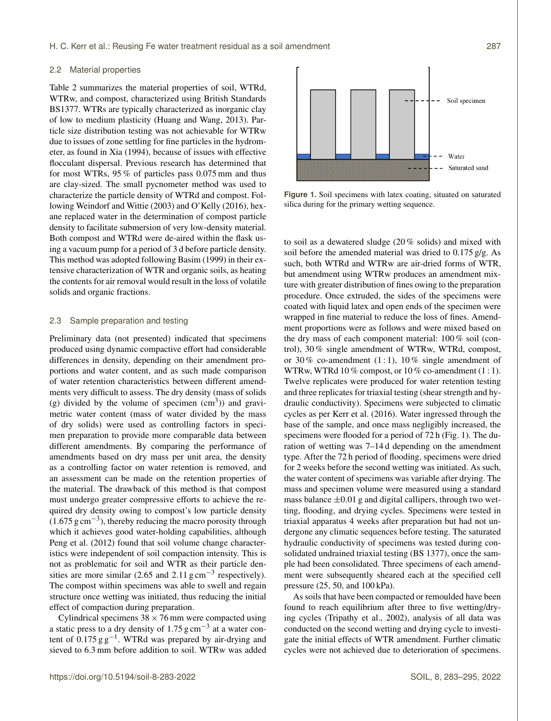#### 2.2 Material properties

Table 2 summarizes the material properties of soil, WTRd, WTRw, and compost, characterized using British Standards BS1377. WTRs are typically characterized as inorganic clay of low to medium plasticity (Huang and Wang, 2013). Particle size distribution testing was not achievable for WTRw due to issues of zone settling for fine particles in the hydrometer, as found in Xia (1994), because of issues with effective flocculant dispersal. Previous research has determined that for most WTRs, 95 % of particles pass 0.075 mm and thus are clay-sized. The small pycnometer method was used to characterize the particle density of WTRd and compost. Following Weindorf and Wittie (2003) and O'Kelly (2016), hexane replaced water in the determination of compost particle density to facilitate submersion of very low-density material. Both compost and WTRd were de-aired within the flask using a vacuum pump for a period of 3 d before particle density. This method was adopted following Basim (1999) in their extensive characterization of WTR and organic soils, as heating the contents for air removal would result in the loss of volatile solids and organic fractions.

# 2.3 Sample preparation and testing

Preliminary data (not presented) indicated that specimens produced using dynamic compactive effort had considerable differences in density, depending on their amendment proportions and water content, and as such made comparison of water retention characteristics between different amendments very difficult to assess. The dry density (mass of solids (g) divided by the volume of specimen  $(cm<sup>3</sup>))$  and gravimetric water content (mass of water divided by the mass of dry solids) were used as controlling factors in specimen preparation to provide more comparable data between different amendments. By comparing the performance of amendments based on dry mass per unit area, the density as a controlling factor on water retention is removed, and an assessment can be made on the retention properties of the material. The drawback of this method is that compost must undergo greater compressive efforts to achieve the required dry density owing to compost's low particle density (1.675 g cm−<sup>3</sup> ), thereby reducing the macro porosity through which it achieves good water-holding capabilities, although Peng et al. (2012) found that soil volume change characteristics were independent of soil compaction intensity. This is not as problematic for soil and WTR as their particle densities are more similar (2.65 and 2.11  $\text{g cm}^{-3}$  respectively). The compost within specimens was able to swell and regain structure once wetting was initiated, thus reducing the initial effect of compaction during preparation.

Cylindrical specimens  $38 \times 76$  mm were compacted using a static press to a dry density of  $1.75$  g cm<sup>-3</sup> at a water content of  $0.175 \text{ g g}^{-1}$ . WTRd was prepared by air-drying and sieved to 6.3 mm before addition to soil. WTRw was added



**Figure 1.** Soil specimens with latex coating, situated on saturated silica during for the primary wetting sequence.

to soil as a dewatered sludge (20 % solids) and mixed with soil before the amended material was dried to 0.175 g/g. As such, both WTRd and WTRw are air-dried forms of WTR, but amendment using WTRw produces an amendment mixture with greater distribution of fines owing to the preparation procedure. Once extruded, the sides of the specimens were coated with liquid latex and open ends of the specimen were wrapped in fine material to reduce the loss of fines. Amendment proportions were as follows and were mixed based on the dry mass of each component material: 100 % soil (control), 30 % single amendment of WTRw, WTRd, compost, or 30 % co-amendment  $(1:1)$ , 10 % single amendment of WTRw, WTRd 10 % compost, or 10 % co-amendment (1 : 1). Twelve replicates were produced for water retention testing and three replicates for triaxial testing (shear strength and hydraulic conductivity). Specimens were subjected to climatic cycles as per Kerr et al. (2016). Water ingressed through the base of the sample, and once mass negligibly increased, the specimens were flooded for a period of 72 h (Fig. 1). The duration of wetting was 7–14 d depending on the amendment type. After the 72 h period of flooding, specimens were dried for 2 weeks before the second wetting was initiated. As such, the water content of specimens was variable after drying. The mass and specimen volume were measured using a standard mass balance  $\pm 0.01$  g and digital callipers, through two wetting, flooding, and drying cycles. Specimens were tested in triaxial apparatus 4 weeks after preparation but had not undergone any climatic sequences before testing. The saturated hydraulic conductivity of specimens was tested during consolidated undrained triaxial testing (BS 1377), once the sample had been consolidated. Three specimens of each amendment were subsequently sheared each at the specified cell pressure (25, 50, and 100 kPa).

As soils that have been compacted or remoulded have been found to reach equilibrium after three to five wetting/drying cycles (Tripathy et al., 2002), analysis of all data was conducted on the second wetting and drying cycle to investigate the initial effects of WTR amendment. Further climatic cycles were not achieved due to deterioration of specimens.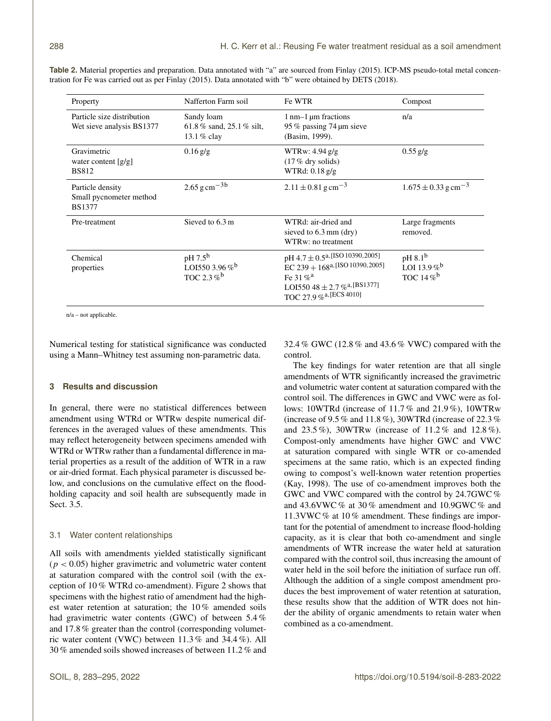| Property                                                     | Nafferton Farm soil                                                            | Fe WTR                                                                                                                                                                          | Compost                                                                   |
|--------------------------------------------------------------|--------------------------------------------------------------------------------|---------------------------------------------------------------------------------------------------------------------------------------------------------------------------------|---------------------------------------------------------------------------|
| Particle size distribution<br>Wet sieve analysis BS1377      | Sandy loam<br>61.8% sand, 25.1% silt,<br>13.1 % clay                           | $1$ nm $-1$ µm fractions<br>95 % passing 74 µm sieve<br>(Basim, 1999).                                                                                                          | n/a                                                                       |
| Gravimetric<br>water content $[g/g]$<br><b>BS812</b>         | $0.16$ g/g                                                                     | WTRw: $4.94$ g/g<br>$(17\%$ dry solids)<br>WTRd: $0.18$ g/g                                                                                                                     | $0.55$ g/g                                                                |
| Particle density<br>Small pycnometer method<br><b>BS1377</b> | $2.65 \text{ g cm}^{-3b}$                                                      | $2.11 \pm 0.81$ g cm <sup>-3</sup>                                                                                                                                              | $1.675 \pm 0.33$ g cm <sup>-3</sup>                                       |
| Pre-treatment                                                | Sieved to 6.3 m                                                                | WTRd: air-dried and<br>sieved to $6.3$ mm (dry)<br>WTRw: no treatment                                                                                                           | Large fragments<br>removed.                                               |
| Chemical<br>properties                                       | pH 7.5 <sup>b</sup><br>LOI550 3.96 % <sup>b</sup><br>TOC 2.3 $\%$ <sup>b</sup> | pH 4.7 ± 0.5 <sup>a,[ISO 10390,2005]</sup><br>EC 239 + 168a, [ISO 10390, 2005]<br>Fe 31 $%$ <sup>a</sup><br>LOI550 48 ± 2.7 % <sup>a, [BS1377]</sup><br>TOC 27.9 %a, [ECS 4010] | pH 8.1 <sup>b</sup><br>LOI 13.9% <sup>b</sup><br>TOC 14 $\%$ <sup>b</sup> |

**Table 2.** Material properties and preparation. Data annotated with "a" are sourced from Finlay (2015). ICP-MS pseudo-total metal concentration for Fe was carried out as per Finlay (2015). Data annotated with "b" were obtained by DETS (2018).

n/a – not applicable.

Numerical testing for statistical significance was conducted using a Mann–Whitney test assuming non-parametric data.

# **3 Results and discussion**

In general, there were no statistical differences between amendment using WTRd or WTRw despite numerical differences in the averaged values of these amendments. This may reflect heterogeneity between specimens amended with WTRd or WTRw rather than a fundamental difference in material properties as a result of the addition of WTR in a raw or air-dried format. Each physical parameter is discussed below, and conclusions on the cumulative effect on the floodholding capacity and soil health are subsequently made in Sect. 3.5.

## 3.1 Water content relationships

All soils with amendments yielded statistically significant  $(p < 0.05)$  higher gravimetric and volumetric water content at saturation compared with the control soil (with the exception of 10 % WTRd co-amendment). Figure 2 shows that specimens with the highest ratio of amendment had the highest water retention at saturation; the 10 % amended soils had gravimetric water contents (GWC) of between 5.4 % and 17.8 % greater than the control (corresponding volumetric water content (VWC) between 11.3 % and 34.4 %). All 30 % amended soils showed increases of between 11.2 % and 32.4 % GWC (12.8 % and 43.6 % VWC) compared with the control.

The key findings for water retention are that all single amendments of WTR significantly increased the gravimetric and volumetric water content at saturation compared with the control soil. The differences in GWC and VWC were as follows: 10WTRd (increase of 11.7 % and 21.9 %), 10WTRw (increase of 9.5 % and 11.8 %), 30WTRd (increase of 22.3 % and 23.5 %), 30WTRw (increase of 11.2 % and 12.8 %). Compost-only amendments have higher GWC and VWC at saturation compared with single WTR or co-amended specimens at the same ratio, which is an expected finding owing to compost's well-known water retention properties (Kay, 1998). The use of co-amendment improves both the GWC and VWC compared with the control by 24.7GWC % and 43.6VWC % at 30 % amendment and 10.9GWC % and 11.3VWC % at 10 % amendment. These findings are important for the potential of amendment to increase flood-holding capacity, as it is clear that both co-amendment and single amendments of WTR increase the water held at saturation compared with the control soil, thus increasing the amount of water held in the soil before the initiation of surface run off. Although the addition of a single compost amendment produces the best improvement of water retention at saturation, these results show that the addition of WTR does not hinder the ability of organic amendments to retain water when combined as a co-amendment.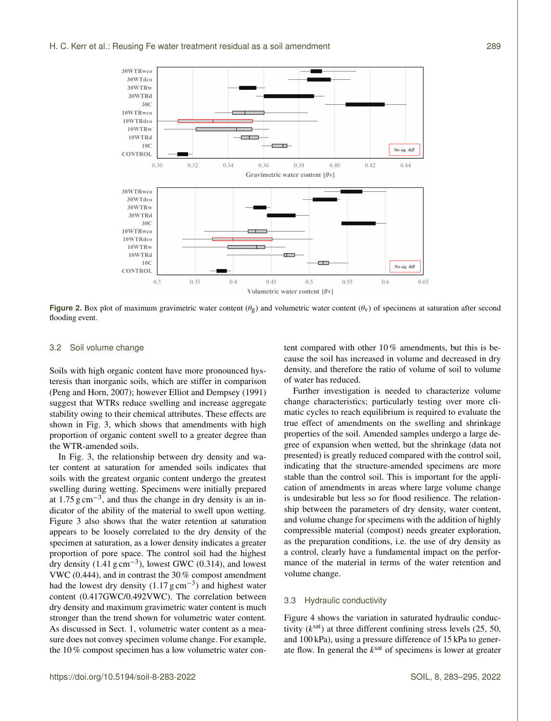

**Figure 2.** Box plot of maximum gravimetric water content ( $\theta_g$ ) and volumetric water content ( $\theta_v$ ) of specimens at saturation after second flooding event.

## 3.2 Soil volume change

Soils with high organic content have more pronounced hysteresis than inorganic soils, which are stiffer in comparison (Peng and Horn, 2007); however Elliot and Dempsey (1991) suggest that WTRs reduce swelling and increase aggregate stability owing to their chemical attributes. These effects are shown in Fig. 3, which shows that amendments with high proportion of organic content swell to a greater degree than the WTR-amended soils.

In Fig. 3, the relationship between dry density and water content at saturation for amended soils indicates that soils with the greatest organic content undergo the greatest swelling during wetting. Specimens were initially prepared at  $1.75 \text{ g cm}^{-3}$ , and thus the change in dry density is an indicator of the ability of the material to swell upon wetting. Figure 3 also shows that the water retention at saturation appears to be loosely correlated to the dry density of the specimen at saturation, as a lower density indicates a greater proportion of pore space. The control soil had the highest dry density  $(1.41 \text{ g cm}^{-3})$ , lowest GWC  $(0.314)$ , and lowest VWC (0.444), and in contrast the 30 % compost amendment had the lowest dry density  $(1.17 \text{ g cm}^{-3})$  and highest water content (0.417GWC/0.492VWC). The correlation between dry density and maximum gravimetric water content is much stronger than the trend shown for volumetric water content. As discussed in Sect. 1, volumetric water content as a measure does not convey specimen volume change. For example, the 10 % compost specimen has a low volumetric water content compared with other 10 % amendments, but this is because the soil has increased in volume and decreased in dry density, and therefore the ratio of volume of soil to volume of water has reduced.

Further investigation is needed to characterize volume change characteristics; particularly testing over more climatic cycles to reach equilibrium is required to evaluate the true effect of amendments on the swelling and shrinkage properties of the soil. Amended samples undergo a large degree of expansion when wetted, but the shrinkage (data not presented) is greatly reduced compared with the control soil, indicating that the structure-amended specimens are more stable than the control soil. This is important for the application of amendments in areas where large volume change is undesirable but less so for flood resilience. The relationship between the parameters of dry density, water content, and volume change for specimens with the addition of highly compressible material (compost) needs greater exploration, as the preparation conditions, i.e. the use of dry density as a control, clearly have a fundamental impact on the performance of the material in terms of the water retention and volume change.

# 3.3 Hydraulic conductivity

Figure 4 shows the variation in saturated hydraulic conductivity  $(k^{\text{sat}})$  at three different confining stress levels (25, 50, and 100 kPa), using a pressure difference of 15 kPa to generate flow. In general the  $k^{\text{sat}}$  of specimens is lower at greater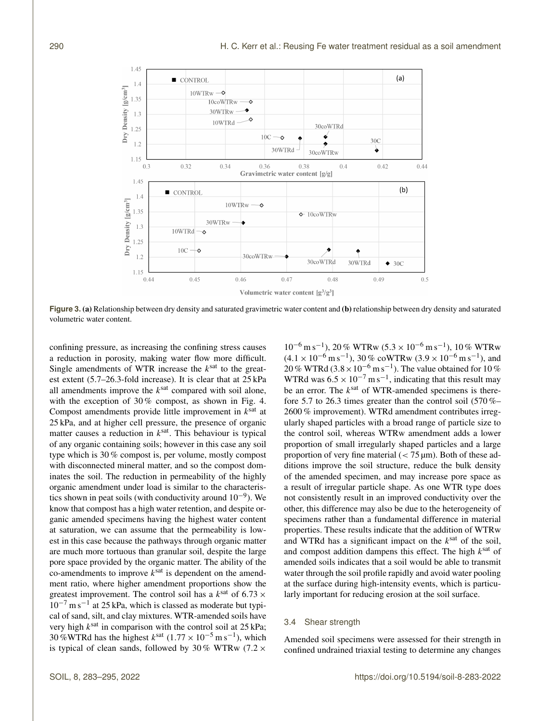

**Figure 3. (a)** Relationship between dry density and saturated gravimetric water content and **(b)** relationship between dry density and saturated volumetric water content.

confining pressure, as increasing the confining stress causes a reduction in porosity, making water flow more difficult. Single amendments of WTR increase the  $k^{\text{sat}}$  to the greatest extent (5.7–26.3-fold increase). It is clear that at 25 kPa all amendments improve the  $k^{\text{sat}}$  compared with soil alone, with the exception of 30% compost, as shown in Fig. 4. Compost amendments provide little improvement in  $k^{\text{sat}}$  at 25 kPa, and at higher cell pressure, the presence of organic matter causes a reduction in  $k^{\text{sat}}$ . This behaviour is typical of any organic containing soils; however in this case any soil type which is 30 % compost is, per volume, mostly compost with disconnected mineral matter, and so the compost dominates the soil. The reduction in permeability of the highly organic amendment under load is similar to the characteristics shown in peat soils (with conductivity around  $10^{-9}$ ). We know that compost has a high water retention, and despite organic amended specimens having the highest water content at saturation, we can assume that the permeability is lowest in this case because the pathways through organic matter are much more tortuous than granular soil, despite the large pore space provided by the organic matter. The ability of the co-amendments to improve  $k^{\text{sat}}$  is dependent on the amendment ratio, where higher amendment proportions show the greatest improvement. The control soil has a  $k^{\text{sat}}$  of 6.73  $\times$ 10−<sup>7</sup> m s−<sup>1</sup> at 25 kPa, which is classed as moderate but typical of sand, silt, and clay mixtures. WTR-amended soils have very high  $k^{\text{sat}}$  in comparison with the control soil at 25 kPa; 30 %WTRd has the highest  $k^{\text{sat}}$  (1.77 × 10<sup>-5</sup> m s<sup>-1</sup>), which is typical of clean sands, followed by 30 % WTRw (7.2  $\times$ 

 $10^{-6}$  m s<sup>-1</sup>), 20 % WTRw (5.3 × 10<sup>-6</sup> m s<sup>-1</sup>), 10 % WTRw  $(4.1 \times 10^{-6} \text{ m s}^{-1})$ , 30% coWTRw  $(3.9 \times 10^{-6} \text{ m s}^{-1})$ , and 20 % WTRd (3.8 ×  $10^{-6}$  m s<sup>-1</sup>). The value obtained for 10 % WTRd was  $6.5 \times 10^{-7}$  m s<sup>-1</sup>, indicating that this result may be an error. The  $k^{\text{sat}}$  of WTR-amended specimens is therefore 5.7 to 26.3 times greater than the control soil (570 %– 2600 % improvement). WTRd amendment contributes irregularly shaped particles with a broad range of particle size to the control soil, whereas WTRw amendment adds a lower proportion of small irregularly shaped particles and a large proportion of very fine material  $\left($  < 75  $\mu$ m). Both of these additions improve the soil structure, reduce the bulk density of the amended specimen, and may increase pore space as a result of irregular particle shape. As one WTR type does not consistently result in an improved conductivity over the other, this difference may also be due to the heterogeneity of specimens rather than a fundamental difference in material properties. These results indicate that the addition of WTRw and WTRd has a significant impact on the  $k^{\text{sat}}$  of the soil, and compost addition dampens this effect. The high  $k^{\text{sat}}$  of amended soils indicates that a soil would be able to transmit water through the soil profile rapidly and avoid water pooling at the surface during high-intensity events, which is particularly important for reducing erosion at the soil surface.

# 3.4 Shear strength

Amended soil specimens were assessed for their strength in confined undrained triaxial testing to determine any changes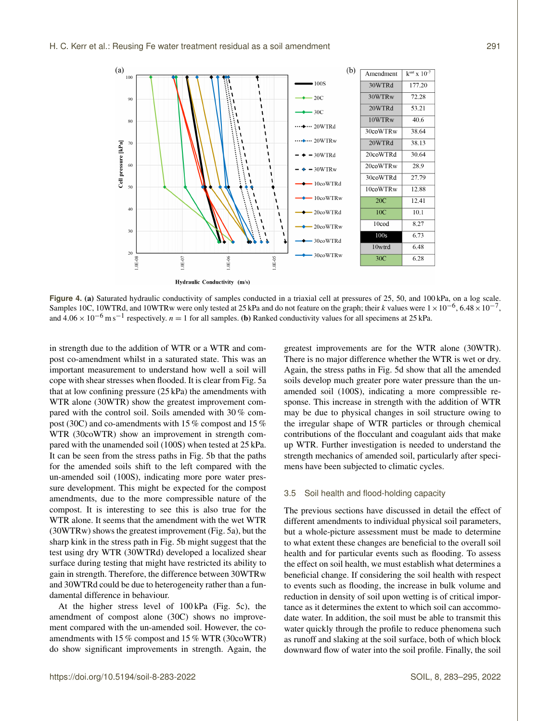

**Figure 4.** (a) Saturated hydraulic conductivity of samples conducted in a triaxial cell at pressures of 25, 50, and 100 kPa, on a log scale. Samples 10C, 10WTRd, and 10WTRw were only tested at 25 kPa and do not feature on the graph; their k values were  $1 \times 10^{-6}$ , 6.48 ×  $10^{-7}$ , and  $4.06 \times 10^{-6}$  m s<sup>-1</sup> respectively.  $n = 1$  for all samples. (b) Ranked conductivity values for all specimens at 25 kPa.

in strength due to the addition of WTR or a WTR and compost co-amendment whilst in a saturated state. This was an important measurement to understand how well a soil will cope with shear stresses when flooded. It is clear from Fig. 5a that at low confining pressure (25 kPa) the amendments with WTR alone (30WTR) show the greatest improvement compared with the control soil. Soils amended with 30 % compost (30C) and co-amendments with 15 % compost and 15 % WTR (30coWTR) show an improvement in strength compared with the unamended soil (100S) when tested at 25 kPa. It can be seen from the stress paths in Fig. 5b that the paths for the amended soils shift to the left compared with the un-amended soil (100S), indicating more pore water pressure development. This might be expected for the compost amendments, due to the more compressible nature of the compost. It is interesting to see this is also true for the WTR alone. It seems that the amendment with the wet WTR (30WTRw) shows the greatest improvement (Fig. 5a), but the sharp kink in the stress path in Fig. 5b might suggest that the test using dry WTR (30WTRd) developed a localized shear surface during testing that might have restricted its ability to gain in strength. Therefore, the difference between 30WTRw and 30WTRd could be due to heterogeneity rather than a fundamental difference in behaviour.

At the higher stress level of 100 kPa (Fig. 5c), the amendment of compost alone (30C) shows no improvement compared with the un-amended soil. However, the coamendments with 15 % compost and 15 % WTR (30coWTR) do show significant improvements in strength. Again, the greatest improvements are for the WTR alone (30WTR). There is no major difference whether the WTR is wet or dry. Again, the stress paths in Fig. 5d show that all the amended soils develop much greater pore water pressure than the unamended soil (100S), indicating a more compressible response. This increase in strength with the addition of WTR may be due to physical changes in soil structure owing to the irregular shape of WTR particles or through chemical contributions of the flocculant and coagulant aids that make up WTR. Further investigation is needed to understand the strength mechanics of amended soil, particularly after specimens have been subjected to climatic cycles.

## 3.5 Soil health and flood-holding capacity

The previous sections have discussed in detail the effect of different amendments to individual physical soil parameters, but a whole-picture assessment must be made to determine to what extent these changes are beneficial to the overall soil health and for particular events such as flooding. To assess the effect on soil health, we must establish what determines a beneficial change. If considering the soil health with respect to events such as flooding, the increase in bulk volume and reduction in density of soil upon wetting is of critical importance as it determines the extent to which soil can accommodate water. In addition, the soil must be able to transmit this water quickly through the profile to reduce phenomena such as runoff and slaking at the soil surface, both of which block downward flow of water into the soil profile. Finally, the soil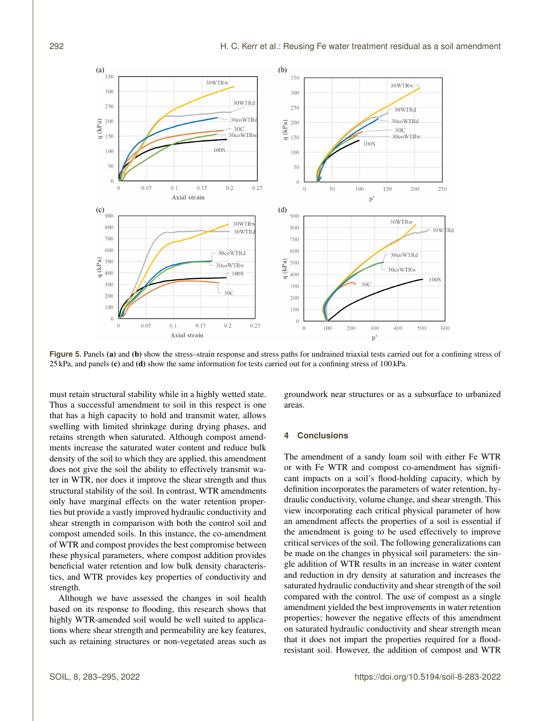

Figure 5. Panels (a) and (b) show the stress–strain response and stress paths for undrained triaxial tests carried out for a confining stress of 25 kPa, and panels (c) and (d) show the same information for tests carried out for a confining stress of 100 kPa.

must retain structural stability while in a highly wetted state. Thus a successful amendment to soil in this respect is one that has a high capacity to hold and transmit water, allows swelling with limited shrinkage during drying phases, and retains strength when saturated. Although compost amendments increase the saturated water content and reduce bulk density of the soil to which they are applied, this amendment does not give the soil the ability to effectively transmit water in WTR, nor does it improve the shear strength and thus structural stability of the soil. In contrast, WTR amendments only have marginal effects on the water retention properties but provide a vastly improved hydraulic conductivity and shear strength in comparison with both the control soil and compost amended soils. In this instance, the co-amendment of WTR and compost provides the best compromise between these physical parameters, where compost addition provides beneficial water retention and low bulk density characteristics, and WTR provides key properties of conductivity and strength.

Although we have assessed the changes in soil health based on its response to flooding, this research shows that highly WTR-amended soil would be well suited to applications where shear strength and permeability are key features, such as retaining structures or non-vegetated areas such as groundwork near structures or as a subsurface to urbanized areas.

## **4 Conclusions**

The amendment of a sandy loam soil with either Fe WTR or with Fe WTR and compost co-amendment has significant impacts on a soil's flood-holding capacity, which by definition incorporates the parameters of water retention, hydraulic conductivity, volume change, and shear strength. This view incorporating each critical physical parameter of how an amendment affects the properties of a soil is essential if the amendment is going to be used effectively to improve critical services of the soil. The following generalizations can be made on the changes in physical soil parameters: the single addition of WTR results in an increase in water content and reduction in dry density at saturation and increases the saturated hydraulic conductivity and shear strength of the soil compared with the control. The use of compost as a single amendment yielded the best improvements in water retention properties; however the negative effects of this amendment on saturated hydraulic conductivity and shear strength mean that it does not impart the properties required for a floodresistant soil. However, the addition of compost and WTR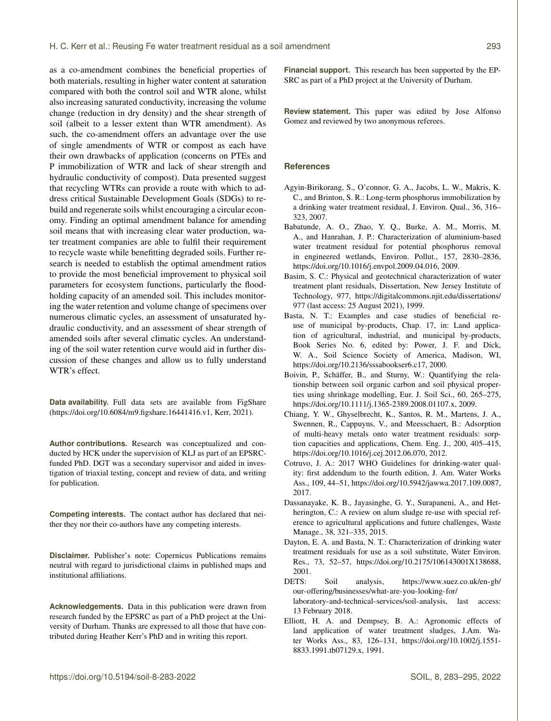as a co-amendment combines the beneficial properties of both materials, resulting in higher water content at saturation compared with both the control soil and WTR alone, whilst also increasing saturated conductivity, increasing the volume change (reduction in dry density) and the shear strength of soil (albeit to a lesser extent than WTR amendment). As such, the co-amendment offers an advantage over the use of single amendments of WTR or compost as each have their own drawbacks of application (concerns on PTEs and P immobilization of WTR and lack of shear strength and hydraulic conductivity of compost). Data presented suggest that recycling WTRs can provide a route with which to address critical Sustainable Development Goals (SDGs) to rebuild and regenerate soils whilst encouraging a circular economy. Finding an optimal amendment balance for amending soil means that with increasing clear water production, water treatment companies are able to fulfil their requirement to recycle waste while benefitting degraded soils. Further research is needed to establish the optimal amendment ratios to provide the most beneficial improvement to physical soil parameters for ecosystem functions, particularly the floodholding capacity of an amended soil. This includes monitoring the water retention and volume change of specimens over numerous climatic cycles, an assessment of unsaturated hydraulic conductivity, and an assessment of shear strength of amended soils after several climatic cycles. An understanding of the soil water retention curve would aid in further discussion of these changes and allow us to fully understand WTR's effect.

**Data availability.** Full data sets are available from FigShare (https://doi.org[/10.6084/m9.figshare.16441416.v1,](https://doi.org/10.6084/m9.figshare.16441416.v1) Kerr, 2021).

**Author contributions.** Research was conceptualized and conducted by HCK under the supervision of KLJ as part of an EPSRCfunded PhD. DGT was a secondary supervisor and aided in investigation of triaxial testing, concept and review of data, and writing for publication.

**Competing interests.** The contact author has declared that neither they nor their co-authors have any competing interests.

**Disclaimer.** Publisher's note: Copernicus Publications remains neutral with regard to jurisdictional claims in published maps and institutional affiliations.

**Acknowledgements.** Data in this publication were drawn from research funded by the EPSRC as part of a PhD project at the University of Durham. Thanks are expressed to all those that have contributed during Heather Kerr's PhD and in writing this report.

**Financial support.** This research has been supported by the EP-SRC as part of a PhD project at the University of Durham.

**Review statement.** This paper was edited by Jose Alfonso Gomez and reviewed by two anonymous referees.

#### **References**

- Agyin-Birikorang, S., O'connor, G. A., Jacobs, L. W., Makris, K. C., and Brinton, S. R.: Long-term phosphorus immobilization by a drinking water treatment residual, J. Environ. Qual., 36, 316– 323, 2007.
- Babatunde, A. O., Zhao, Y. Q., Burke, A. M., Morris, M. A., and Hanrahan, J. P.: Characterization of aluminium-based water treatment residual for potential phosphorus removal in engineered wetlands, Environ. Pollut., 157, 2830–2836, https://doi.org[/10.1016/j.envpol.2009.04.016,](https://doi.org/10.1016/j.envpol.2009.04.016) 2009.
- Basim, S. C.: Physical and geotechnical characterization of water treatment plant residuals, Dissertation, New Jersey Institute of Technology, 977, [https://digitalcommons.njit.edu/dissertations/](https://digitalcommons.njit.edu/dissertations/977) [977](https://digitalcommons.njit.edu/dissertations/977) (last access: 25 August 2021), 1999.
- Basta, N. T.: Examples and case studies of beneficial reuse of municipal by-products, Chap. 17, in: Land application of agricultural, industrial, and municipal by-products, Book Series No. 6, edited by: Power, J. F. and Dick, W. A., Soil Science Society of America, Madison, WI, https://doi.org[/10.2136/sssabookser6.c17,](https://doi.org/10.2136/sssabookser6.c17) 2000.
- Boivin, P., Schäffer, B., and Sturny, W.: Quantifying the relationship between soil organic carbon and soil physical properties using shrinkage modelling, Eur. J. Soil Sci., 60, 265–275, https://doi.org[/10.1111/j.1365-2389.2008.01107.x,](https://doi.org/10.1111/j.1365-2389.2008.01107.x) 2009.
- Chiang, Y. W., Ghyselbrecht, K., Santos, R. M., Martens, J. A., Swennen, R., Cappuyns, V., and Meesschaert, B.: Adsorption of multi-heavy metals onto water treatment residuals: sorption capacities and applications, Chem. Eng. J., 200, 405–415, https://doi.org[/10.1016/j.cej.2012.06.070,](https://doi.org/10.1016/j.cej.2012.06.070) 2012.
- Cotruvo, J. A.: 2017 WHO Guidelines for drinking-water quality: first addendum to the fourth edition, J. Am. Water Works Ass., 109, 44–51, https://doi.org[/10.5942/jawwa.2017.109.0087,](https://doi.org/10.5942/jawwa.2017.109.0087) 2017.
- Dassanayake, K. B., Jayasinghe, G. Y., Surapaneni, A., and Hetherington, C.: A review on alum sludge re-use with special reference to agricultural applications and future challenges, Waste Manage., 38, 321–335, 2015.
- Dayton, E. A. and Basta, N. T.: Characterization of drinking water treatment residuals for use as a soil substitute, Water Environ. Res., 73, 52–57, https://doi.org[/10.2175/106143001X138688,](https://doi.org/10.2175/106143001X138688) 2001.
- DETS: Soil analysis, [https://www.suez.co.uk/en-gb/](https://www.suez.co.uk/en-gb/our-offering/businesses/what-are-you-looking-for/laboratory-and-technical-services/soil-analysis) [our-offering/businesses/what-are-you-looking-for/](https://www.suez.co.uk/en-gb/our-offering/businesses/what-are-you-looking-for/laboratory-and-technical-services/soil-analysis) [laboratory-and-technical-services/soil-analysis,](https://www.suez.co.uk/en-gb/our-offering/businesses/what-are-you-looking-for/laboratory-and-technical-services/soil-analysis) last access: 13 February 2018.
- Elliott, H. A. and Dempsey, B. A.: Agronomic effects of land application of water treatment sludges, J.Am. Water Works Ass., 83, 126–131, https://doi.org[/10.1002/j.1551-](https://doi.org/10.1002/j.1551-8833.1991.tb07129.x) [8833.1991.tb07129.x,](https://doi.org/10.1002/j.1551-8833.1991.tb07129.x) 1991.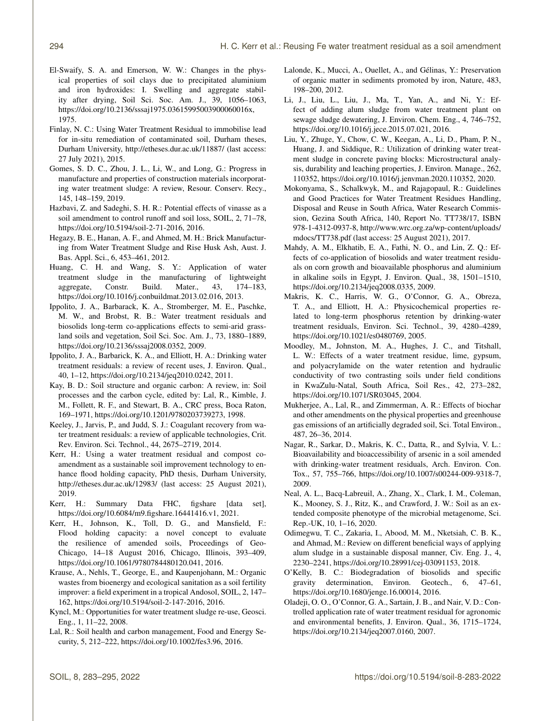- El-Swaify, S. A. and Emerson, W. W.: Changes in the physical properties of soil clays due to precipitated aluminium and iron hydroxides: I. Swelling and aggregate stability after drying, Soil Sci. Soc. Am. J., 39, 1056–1063, https://doi.org[/10.2136/sssaj1975.03615995003900060016x,](https://doi.org/10.2136/sssaj1975.03615995003900060016x) 1975.
- Finlay, N. C.: Using Water Treatment Residual to immobilise lead for in-situ remediation of contaminated soil, Durham theses, Durham University, <http://etheses.dur.ac.uk/11887/> (last access: 27 July 2021), 2015.
- Gomes, S. D. C., Zhou, J. L., Li, W., and Long, G.: Progress in manufacture and properties of construction materials incorporating water treatment sludge: A review, Resour. Conserv. Recy., 145, 148–159, 2019.
- Hazbavi, Z. and Sadeghi, S. H. R.: Potential effects of vinasse as a soil amendment to control runoff and soil loss, SOIL, 2, 71–78, https://doi.org[/10.5194/soil-2-71-2016,](https://doi.org/10.5194/soil-2-71-2016) 2016.
- Hegazy, B. E., Hanan, A. F., and Ahmed, M. H.: Brick Manufacturing from Water Treatment Sludge and Rise Husk Ash, Aust. J. Bas. Appl. Sci., 6, 453–461, 2012.
- Huang, C. H. and Wang, S. Y.: Application of water treatment sludge in the manufacturing of lightweight aggregate, Constr. Build. Mater., 43, 174–183, https://doi.org[/10.1016/j.conbuildmat.2013.02.016,](https://doi.org/10.1016/j.conbuildmat.2013.02.016) 2013.
- Ippolito, J. A., Barbarack, K. A., Stromberger, M. E., Paschke, M. W., and Brobst, R. B.: Water treatment residuals and biosolids long-term co-applications effects to semi-arid grassland soils and vegetation, Soil Sci. Soc. Am. J., 73, 1880–1889, https://doi.org[/10.2136/sssaj2008.0352,](https://doi.org/10.2136/sssaj2008.0352) 2009.
- Ippolito, J. A., Barbarick, K. A., and Elliott, H. A.: Drinking water treatment residuals: a review of recent uses, J. Environ. Qual., 40, 1–12, https://doi.org[/10.2134/jeq2010.0242,](https://doi.org/10.2134/jeq2010.0242) 2011.
- Kay, B. D.: Soil structure and organic carbon: A review, in: Soil processes and the carbon cycle, edited by: Lal, R., Kimble, J. M., Follett, R. F., and Stewart, B. A., CRC press, Boca Raton, 169–1971, https://doi.org[/10.1201/9780203739273,](https://doi.org/10.1201/9780203739273) 1998.
- Keeley, J., Jarvis, P., and Judd, S. J.: Coagulant recovery from water treatment residuals: a review of applicable technologies, Crit. Rev. Environ. Sci. Technol., 44, 2675–2719, 2014.
- Kerr, H.: Using a water treatment residual and compost coamendment as a sustainable soil improvement technology to enhance flood holding capacity, PhD thesis, Durham University, <http://etheses.dur.ac.uk/12983/> (last access: 25 August 2021), 2019.
- Kerr, H.: Summary Data FHC, figshare [data set], https://doi.org[/10.6084/m9.figshare.16441416.v1,](https://doi.org/10.6084/m9.figshare.16441416.v1) 2021.
- Kerr, H., Johnson, K., Toll, D. G., and Mansfield, F.: Flood holding capacity: a novel concept to evaluate the resilience of amended soils, Proceedings of Geo-Chicago, 14–18 August 2016, Chicago, Illinois, 393–409, https://doi.org[/10.1061/9780784480120.041,](https://doi.org/10.1061/9780784480120.041) 2016.
- Krause, A., Nehls, T., George, E., and Kaupenjohann, M.: Organic wastes from bioenergy and ecological sanitation as a soil fertility improver: a field experiment in a tropical Andosol, SOIL, 2, 147– 162, https://doi.org[/10.5194/soil-2-147-2016,](https://doi.org/10.5194/soil-2-147-2016) 2016.
- Kyncl, M.: Opportunities for water treatment sludge re-use, Geosci. Eng., 1, 11–22, 2008.
- Lal, R.: Soil health and carbon management, Food and Energy Security, 5, 212–222, https://doi.org[/10.1002/fes3.96,](https://doi.org/10.1002/fes3.96) 2016.
- Lalonde, K., Mucci, A., Ouellet, A., and Gélinas, Y.: Preservation of organic matter in sediments promoted by iron, Nature, 483, 198–200, 2012.
- Li, J., Liu, L., Liu, J., Ma, T., Yan, A., and Ni, Y.: Effect of adding alum sludge from water treatment plant on sewage sludge dewatering, J. Environ. Chem. Eng., 4, 746–752, https://doi.org[/10.1016/j.jece.2015.07.021,](https://doi.org/10.1016/j.jece.2015.07.021) 2016.
- Liu, Y., Zhuge, Y., Chow, C. W., Keegan, A., Li, D., Pham, P. N., Huang, J. and Siddique, R.: Utilization of drinking water treatment sludge in concrete paving blocks: Microstructural analysis, durability and leaching properties, J. Environ. Manage., 262, 110352, https://doi.org[/10.1016/j.jenvman.2020.110352,](https://doi.org/10.1016/j.jenvman.2020.110352) 2020.
- Mokonyama, S., Schalkwyk, M., and Rajagopaul, R.: Guidelines and Good Practices for Water Treatment Residues Handling, Disposal and Reuse in South Africa, Water Research Commission, Gezina South Africa, 140, Report No. TT738/17, ISBN 978-1-4312-0937-8, [http://www.wrc.org.za/wp-content/uploads/](http://www.wrc.org.za/wp-content/uploads/mdocs/TT738.pdf) [mdocs/TT738.pdf](http://www.wrc.org.za/wp-content/uploads/mdocs/TT738.pdf) (last access: 25 August 2021), 2017.
- Mahdy, A. M., Elkhatib, E. A., Fathi, N. O., and Lin, Z. Q.: Effects of co-application of biosolids and water treatment residuals on corn growth and bioavailable phosphorus and aluminium in alkaline soils in Egypt, J. Environ. Qual., 38, 1501–1510, https://doi.org[/10.2134/jeq2008.0335,](https://doi.org/10.2134/jeq2008.0335) 2009.
- Makris, K. C., Harris, W. G., O'Connor, G. A., Obreza, T. A., and Elliott, H. A.: Physicochemical properties related to long-term phosphorus retention by drinking-water treatment residuals, Environ. Sci. Technol., 39, 4280–4289, https://doi.org[/10.1021/es0480769,](https://doi.org/10.1021/es0480769) 2005.
- Moodley, M., Johnston, M. A., Hughes, J. C., and Titshall, L. W.: Effects of a water treatment residue, lime, gypsum, and polyacrylamide on the water retention and hydraulic conductivity of two contrasting soils under field conditions in KwaZulu-Natal, South Africa, Soil Res., 42, 273–282, https://doi.org[/10.1071/SR03045,](https://doi.org/10.1071/SR03045) 2004.
- Mukherjee, A., Lal, R., and Zimmerman, A. R.: Effects of biochar and other amendments on the physical properties and greenhouse gas emissions of an artificially degraded soil, Sci. Total Environ., 487, 26–36, 2014.
- Nagar, R., Sarkar, D., Makris, K. C., Datta, R., and Sylvia, V. L.: Bioavailability and bioaccessibility of arsenic in a soil amended with drinking-water treatment residuals, Arch. Environ. Con. Tox., 57, 755–766, https://doi.org[/10.1007/s00244-009-9318-7,](https://doi.org/10.1007/s00244-009-9318-7) 2009.
- Neal, A. L., Bacq-Labreuil, A., Zhang, X., Clark, I. M., Coleman, K., Mooney, S. J., Ritz, K., and Crawford, J. W.: Soil as an extended composite phenotype of the microbial metagenome, Sci. Rep.-UK, 10, 1–16, 2020.
- Odimegwu, T. C., Zakaria, I., Abood, M. M., Nketsiah, C. B. K., and Ahmad, M.: Review on different beneficial ways of applying alum sludge in a sustainable disposal manner, Civ. Eng. J., 4, 2230–2241, https://doi.org[/10.28991/cej-03091153,](https://doi.org/10.28991/cej-03091153) 2018.
- O'Kelly, B. C.: Biodegradation of biosolids and specific gravity determination, Environ. Geotech., 6, 47–61, https://doi.org[/10.1680/jenge.16.00014,](https://doi.org/10.1680/jenge.16.00014) 2016.
- Oladeji, O. O., O'Connor, G. A., Sartain, J. B., and Nair, V. D.: Controlled application rate of water treatment residual for agronomic and environmental benefits, J. Environ. Qual., 36, 1715–1724, https://doi.org[/10.2134/jeq2007.0160,](https://doi.org/10.2134/jeq2007.0160) 2007.